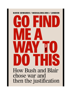# How Bush and Blair chose war and then the justification GO FIND ME A WAY 10 DO THIS DAVID EDWARDS / MEDIALENS.ORG / LONDON ColdType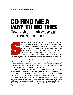# GO FIND ME A WAY TO DO THIS How Bush and Blair chose war and then the justification



ometimes it really is possible to fail to see the wood for the trees. We need to be clear that Tony Blair is claiming that the threat of Iraqi WMD justified a massive war against Iraq. We are to believe that after a major conflict in which 88,500 tons of bombs were dropped in 1991, after eight years of inspections, and after more than a decade of continuous bombing raids, and of crippling sanctions imposed under the most intensive and sophisticated surveillance operation in history,

both Blair and Bush received intelligence suggesting that Iraq was a "serious and current threat".

As we now know, this alleged intelligence is said to have been related to WMD and links with al-Qaeda that did not exist. We are to believe, then, that a rush of terrifying information relating to non-existent perils – a rush so overwhelming that long-standing policy was abandoned – suddenly emerged to lead Bush and Blair to believe that nothing less than war was required to avert the danger.

This truly is remarkable. We might expect one or two erroneous reports warning of something that isn't there – but a weight of evidence sufficient to actually revolutionise policy? Beyond the possibility of some kind of mass hysteria, it seems almost unbelievable – this just isn't how the world works. Of course it could be argued that the threat was always "serious and current" – in which case why do nothing for ten years? And in which case why did Colin Powell say of Saddam on February 24, 2001: "He has not developed any significant capability with respect to weapons of mass destruction. He is unable to project conventional power against his neighbours."? *(Quoted, John Pilger, Daily Mirror, September 22, 2003)*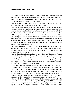On the BBC's News At Ten (February 2, 2004) reporter Gavin Hewitt suggested that the inquiry into the failure to discover Iraq's alleged WMD would likely focus on two issues: 1) Did the intelligence services "get it wrong"? and 2) Did politicians "fail to ask the people here [MI6] the right searching questions?"

In other words, were politicians at worst merely indolent in failing to challenge the wild intelligence claims they dutifully passed on to the public?

Consider Hewitt's range of possible questions in light of comments made by Greg Thielmann to CBS News last October. Thielmann, an expert on Iraqi WMD and former senior foreign-service officer for 25 years, claims that key evidence presented by Colin Powell to the UN on February 5, 2003 was misrepresented and the public deceived:

"The main problem was that the senior administration officials have what I call faithbased intelligence. They knew what they wanted the intelligence to show. They were really blind and deaf to any kind of countervailing information the intelligence community would produce. I would assign some blame to the intelligence community, and most of the blame to the senior administration officials." *('The man who knew', October 15, 2003, www.cbsnews.com)*

Ray McGovern, a former high-ranking CIA analyst, told John Pilger last year that the Bush administration demanded that intelligence be shaped to comply with political objectives: "It was 95 per cent charade", he said. *(John Pilger, 'Blair's Mass Deception, Daily Mirror, February 3, 2004)*

Almost identical complaints have been voiced on this side of the Atlantic. Weapons expert David Kelly told the BBC's Susan Watts that "lots of people" were concerned, that "people at the top of the ladder didn't want to hear some of the things" and "in your heart of hearts you must realise sometimes that's not actually the right thing to say". *('Beyond doubt: facts amid the fiction', Vikram Dodd, Richard Norton-Taylor and Nicholas Watt, The Guardian, August 16, 2003)*

Kelly added: "The 45 minute point was a statement that was made and it got out of all proportion. They [the government] were desperate for information. They were pushing hard for information that could be released. That was the one that popped up and it was seized on and it is unfortunate that it was. That is why there is the argument between the intelligence services and Number 10, because they picked up on it and once they had picked up on it you cannot pull back from it, so many people will say 'Well, we are not sure about that' because the wordsmithing is actually quite important."

Curiously, in declaring BBC reporter Andrew Gilligan's claims "unfounded" in his January 28 report, Lord Hutton said merely of Watts' report: "Ms Watts recorded this conversation on a tape recorder and the recording was played in the course of the Inquiry." *(The Hutton Inquiry, Statement by Lord Hutton, January, 28, 2004,*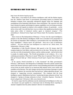#### *http://www.the-hutton-inquiry.org.uk)*

Brian Jones, a top analyst in the defence intelligence staff, told the Hutton inquiry how the "shutters came down" in government, preventing experts on chemical and biological weapons from expressing widespread disquiet about the language and assumptions in the September 2002 dossier. Jones told Hutton: "My concerns were that Iraq's chemical weapons and biological weapons capabilities were not being accurately represented in all regards in relation to the available evidence. In particular ... on the advice of my staff, I was told that there was no evidence that significant production had taken place either of chemical warfare agent or chemical weapons." *('The whistleblower', Richard Norton-Taylor and Vikram Dodd, The Guardian, September 4, 2003)* 

Jones wrotes in The Independent of February 4: "In my view the expert intelligence analysts of the DIS [Defence Intelligence Staff] were overruled in the preparation of the dossier in September 2002 resulting in a presentation that was misleading about Iraq's capabilities." *('Hutton report: the aftermath – there was a lack of substantive evidence ... We were told there was intelligence we could not see', Brian Jones, The Independent, February 4, 2004)*

Responding to Colin Powell's February 2003 speech to the UN, former chief UN weapons inspector, Scott Ritter, said in an interview at the time: "He just hits you, hits you, hits you with circumstantial evidence, and he confuses people – and he lied, he lied to people, he misled people... The Powell presentation is not evidence... It's a very confusing presentation. What does it mean? What does it represent? How does it all link up? It doesn't link up." *('Ritter dismisses Powell report', Kyodo News, February 7, 2003)*

In his speech, Powell described as "a fine document" the Blair government's February 3, 2003 dossier. Glen Rangwala of Cambridge University quickly spotted that much of the dossier had been copied word for word (including punctuation and spelling errors) from an article written by an American PhD student twelve years earlier and available on the Internet. The only changes involved the doctoring of passages to make them more ominous: the assertion that Iraq had been "aiding opposition groups" was changed to "supporting terrorist organisations". The comment that the Iraqi intelligence agency Mukhabarat had been "monitoring foreign embassies in Iraq" was changed to "spying on foreign embassies in Iraq". *(Jonathan Rugman, 'Downing St dossier plagiarised', February 6, 2003, www.channel4.com)*

It's hard to argue that the politicians merely misinterpreted intelligence in this case – the dossier was put together by a four-man team in Downing Street reporting to Alastair Campbell, then the prime minister's director of communications.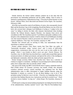Glenda Jackson, the former Labour minister, pointed out at the time that the government was misleading parliament and the public, adding: "And of course to mislead is a parliamentary euphemism for lying." *('Downing St admits blunder on Iraq dossier', Michael White, Ewen MacAskill and Richard Norton-Taylor, The Guardian, February 8, 2003)*

All of this was beyond the remit of Lord Hutton, of course, who consequently cleared Blair and his Keystone Cops of all wrongdoing. Recall that Hutton was one of five law lords who accused their colleague Lord Hoffmann of acting as "a judge in his own cause" by failing to declare his links with Amnesty International when deciding whether the Chilean dictator, Augusto Pinochet, was immune from arrest and extradition in 1999. The Guardian reported: "Lord Hutton said public confidence in the integrity of the administration of justice would be shaken if Lord Hoffmann's deciding vote that General Pinochet could be prosecuted was allowed to stand." *('Law lords condemn Hoffmann', Clare Dyer, The Guardian, January 16, 1999)*

Pinochet was released and, on arriving in Chile, rose miraculously from his wheelchair to embrace well-wishers.

Former cabinet minister, Clare Short, insists that Tony Blair was guilty of "honourable deception" using "various ruses" and "a series of half-truths, exaggerations, reassurances that were not the case to get us into conflict by the spring". *('Short: I was briefed on Blair's secret war pact', Patrick Wintour, The Guardian, June 18, 2003)* Short has described how a small cabal around Blair ignored normal procedures of cabinet government, and ignored the advice of the intelligence and diplomatic community, which she claims privately opposed the war.

Former foreign secretary, Robin Cook, describes how "there was a selection of evidence to support a conclusion... intelligence was not being used to inform and shape policy, but to shape policy that was already settled". *(Ibid)*

Like most of the media, the BBC's Gavin Hewitt chose to ignore comments made by Paul O'Neill, former US Treasury secretary, last month. O'Neill, who attended countless national security council meetings, has explained how the Bush administration came to office determined to topple Saddam Hussein, using the September 11 attacks as a pretext: "It was all about finding a way to do it. The president saying 'Go find me a way to do this'... From the very beginning, there was a conviction that Saddam Hussein was a bad person and that he needed to go." *('Bush decided to remove Saddam "on day one"', Julian Borger, The Guardian, January 12, 2004)*

O'Neill reports seeing one memorandum preparing for war dating from the first days of the administration. Another, marked "secret" said, "Plan for Post-Saddam Iraq".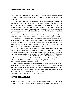O'Neill also saw a Pentagon document entitled "Foreign Suitors For Iraqi Oilfield Contracts", which discussed dividing Iraq's fuel reserves up between the world's oil companies.

The BBC's Matt Frei chose to ignore these claims and instead instantly smeared the man and his message: "If you remember, Paul O'Neill was sacked mainly because he was incompetent, and he was more infamous for his gaffes than his insights on economic theory. He once famously said that the collapse of the energy giant Enron was an example of the genius of capitalism, and perhaps more accurately that the tax code in America was 9,500 words of complete gibberish." *(Matt Frei, Newsnight, BBC2, January 12, 2004)*

But the issue, clearly, is the credibility of what O'Neill has to say as supported by the 19,000 government documents he claims to have in his possession, one of which he revealed on live TV. US media analyst Alexander Cockburn comments: "What bothers the White House is one particular National Security Council document shown in the 60 Minutes interview, clearly drafted in the early weeks of the new administration, which showed plans for the post-invasion dispersal of Iraq's oil assets among the world's great powers, starting with the major oil companies.

"For the brief moment it was on the TV screen one could see that this bit of paper, stamped 'Secret', was undoubtedly one of the most explosive documents in the history of imperial conspiracy. Here, dead center in the camera's lens, was the refutation of every single rationalization for the attack on Iraq ever offered by George W. Bush and his co-conspirators, including Tony Blair." *(Cockburn, 'The O'Neill/Suskind Bombshells – Bush, Oil & Iraq: Some Truth at Last', Counterpunch, January 14, 2004)*

And consider O'Neill's revelations in the light of Tony Blair's claims in the infamous BBC Newsnight interview of February 7, 2003:

"When people say you're hell bent on this war, I've tried to avoid being in this position and I honestly thought there was some prospect last November when we passed the UN Resolution that he [Saddam] would realise we were serious about this and that if he didn't cooperate he was going to be in trouble." *('Tony Blair on Newsnight – part one', The Guardian, February 7, 2003)*

It's the use of the word "honestly" that is interesting.

### IN THE DREAM ZONE

Returning from a visit to Baghdad in late January, Bishop Thomas J. Gumbleton of Detroit described how he was "shocked and discouraged" by what he had seen: "I was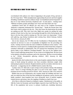overwhelmed with sadness over what is happening to the people of Iraq, and also to the US troops there." With unemployment approaching 60 percent and food supplies dwindling, Gumbleton reported, ordinary Iraqis "are humiliated and feel degraded" as they try to cope without electricity, telephones and – in some places – running water: "Without exception, people said things were worse now than before the war."

Gumbleton noted that US officials live and work in the Coalition Provisional Authority's compound, nicknamed the "Dream Zone": "Inside the Dream Zone, they don't know what is going on in the city... They don't know the deprivations the people are putting up with. They don't have jobs. Right now, people are getting the same amount of basic food as they have been getting through the oil-for-food program, but there is the fear that could be running out. The city is just very depressing." *('Iraqis still suffering, says Bishop Gumbleton after visiting Iraq', Robert Delaney, Catholic News Service, January 29, 2004)*

Also in late January, the UN Office for the Coordination of Humanitarian Affairs reported an increase in cases of encephalitis in Baghdad over the preceding two weeks, "raising concerns about the state of children's healthcare in the country". This followed a recent report by a leading health organisation which found that youngsters remained vulnerable to malnutrition. The UN reported the despairing views of one doctor, Rada, at the Children's Teaching Hospital: "You can see the children here. There is much suffering among them. No one seems to be helping them. We have been to the ministry of heath for assistance and to the Americans. We have received nothing so far." *('IRAQ: Encephalitis affecting children', IRIN, January 26, 2004, www.reliefweb.int)*

Qasim Ali Abid, chief resident doctor at the same hospital, explained that the leading cause of death among his patients was from secondary infections caught while undergoing in-patient treatment. Hospital statistics put the secondary infection rate at 80 percent – a staggering rate for a Middle Eastern country like Iraq.

A prime cause, Dr. Abid said, is open sewage on the premises mixing with drinking water: "There is sewage blocking the pipes. It is now in the water supply." *('Some hospitals become breeding ground for disease', IRIN, January 28, 2004, www.relief.int)*

Rubble from pre-war maintenance also remains inside the building and there are only two toilets per floor of the four floor building for all patients, nurses, doctors and family members. Iraqi hospitals have been chronically short of medical supplies, trained doctors and money since the toppling of Saddam on April 9 last year.

All of this is reflexively blamed on Saddam's regime. Unbeknownst to the public, in 1996 the Centre for Economic and Social Rights reported of pre-Gulf War Iraq: "Over 90% of the population had access to primary health-care, including laboratory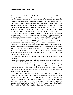diagnosis and immunisations for childhood diseases such as polio and diphtheria. During the 1970s and 80s, British and Japanese companies built scores of large, modern hospitals throughout Iraq, with advanced technologies for diagnosis, operations and treatment. Secondary and tertiary services, including surgical care and laboratory investigative support, were available to most of the Iraqi population at nominal charges. Iraqi medical and nursing schools emphasised education of women and attracted students from throughout the Middle East. A majority of Iraqi physicians were trained in Europe or the United States, and one-quarter were boardcertified specialists." *(UN Sanctioned Suffering, May 1996, http://www.cesr.org)*

These are small glimpses, almost never reported in the media, of the cataclysm inflicted on Iraq by the West. Desperately short of even the most basic medicines and facilities since the invasion, no questions have been asked on TV news, there have been no calls for emergency donations of medical supplies from the US or UK.

The war has so far claimed some 55,000 Iraqi lives, including 9,600 civilians, with 1,000 Iraqi children killed or injured by unexploded cluster bombs every month.

It would be wrong to suggest, however, that Iraqis are the only victims of this tragedy. Writing from the media's own "Dream Zone" in The Guardian, Polly Toynbee notes: "Wars either make or break prime ministers, according to the pollsters – and this war is all but breaking Tony Blair... It is turning into a classical tragedy because it is one of his own making, wrought by his own fatal flaw." *('Revenge or victory', Polly Toynbee, The Guardian, February 6, 2004)*

Toynbee adds: "Blair's personal tragedy is the squandering of his political capital over Iraq."

In her article, Toynbee has not one word to say about the "personal tragedy" suffered by literally hundreds of thousands, indeed millions, of Iraqis.

On the other hand, all of these grisly means are surely justified by the uniquely moral nature of the ends, at least if the post-Hutton BBC is to be believed. On its February 3 lunchtime news, the BBC featured a clip of Sir Harold Walker, former ambassador to Baghdad, saying of Saddam Hussein's regime: "It was the most brutal tyranny, I think, in human history."

The Independent's Johann Hari puts the BBC's performance in proper perspective, suggesting that "much of the BBC's crisis derives from an attempt by the corporation to mimic the attack-dog culture of the British tabloids", with Andrew Gilligan having "the single mission to dig up dirt on the Government". This "anti-politics" has undermined the whole purpose of the BBC: "to provide a more sober, less hysterical, more informed forum for debate." *(Hari, 'Why the BBC-bashers must not be allowed to destroy public service broadcasting', The Independent, January 30, 2004)*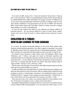To be clear, the BBC ceases to be a "sober, less hysterical" forum when it "digs up dirt" on the government". There is no problemwhen it shovels dirt *for* the government by ranking Saddam above Hitler and Stalin in the league of tyrants, by failing for ten years to expose the genocidal impact of Western sanctions, by failing to make even the most obvious challenges to the government's pre-war lies on WMD, and when the BBC's Andrew Marr emotes that Tony Blair "stands as a larger man and a stronger prime minister as a result" of invading Iraq.

As ever, the only tragedy that matters is the suffering and damage inflicted on powerful interests – the vast horrors inflicted by them on others barely register. Anyone who tries to buck the trend is reviled, slandered and sentenced to career death.

### EVOLUTION OF A THREAT: HOW BLAIR LEARNED TO FEAR SADDAM

As we know, the human catastrophe inflicted on Iraq went ahead against huge domestic and international opposition. Tony Blair's support, in particular, was crucial in affording George Bush the required fig leaf of international legitimacy. Without Blair on board, it is conceivable that Bush might not have been able to wage his war.

On Channel 4 News (February 4, 2004), former senior US intelligence officer, Greg Thielmann, said: "I believe, and again not based on first-hand experience but conclusions that I was reaching then and since, that the decision to go to war was made in the fall of 2001 – we were oblivious to that decision having been reached at the time. And I have to conclude that that decision was shared with prime minister Blair in August of 2002." *(Channel 4 News, February 4, 2004)*

This fits quite well with what we known about when Blair began focusing on the idea that Iraq's non-existent WMDs were a threat.

In 1998, according to the Guardian/Observer website, Blair had next to nothing to say about the threat posed by Iraq. In December 1998, for example, Blair branded the Iraqi president as merely a "serial breaker of promises" as he justified the launch of a joint US-British strike to "degrade" Iraq's weapons of mass destruction. *('Missile blitz on Iraq', Julian Borger and Ewen MacAskill, The Guardian, December 17, 1998)*

Then, just three days of air strikes were deemed sufficient to keep Saddam 'in his box'. No invasion was needed to avert a "serious and current threat".

Throughout 1999 and 2000, the Guardian/Observer record next to no mention of fears of Iraq's alleged WMD (understandable, as we now know they didn't exist) or of its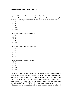supposed links to terrorism (also understandable, as there were none).

The Guardian/Observer record the following number of articles containing the words 'Blair and Iraq and weapons of mass destruction' for the following years:

1999: 7 2000: 7 2001: 29 2002: 379 2003: 1,078

'Blair and Iraq and chemical weapons': 1999: 3 2000: 4 2001: 21 2002: 77 2003: 235

'Blair and Iraq and biological weapons': 1999: 1 2000: 1 2001: 24 2002: 95 2003: 304

'Blair and Iraq and nuclear weapons': 1999: 9 2000: 10 2001: 24 2002: 140 2003: 202

In February 2001, just two years before the invasion, the UK Defence Secretary, Geoff Hoon, and the then Foreign Secretary Robin Cook, justified a further series of bombing raids against Baghdad. No mention was made of WMD. Instead, the Observer reported, "the strikes were necessary to eliminate a threat to the planes patrolling the 'no-fly zones' in the north and south of Iraq." *('Bush signals a deadly intent, Jason Burke and Ed Vulliamy, The Observer, February 18, 2001)*

Blair described the raids against air defence systems as a "limited operation with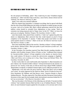the sole purpose of defending... pilots". They would stop, he said, "if Saddam stopped attacking us". *('Blair and Bush defy world fury', Jason Burke, Kamal Ahmed and Ed Vulliamy, The Observer, February 18, 2001)*

Again, a few raids were deemed sufficient.

Blair has claimed that September 11 changed everything, that he agreed with Bush that the risk of Iraqi WMD falling into the hands of al-Qaeda or similar groups was just too great. And yet in October 2001, Blair's official spokesman rejected the idea that military action should be extended from Afghanistan to Iraq, saying: "Such an extension was being proposed only by 'fringe voices' in the US." *('Blair: we know the game you are playing', Matthew Tempest, The Guardian, October 11, 2001)*

Later that month, when asked if there would be a "wider war" against Iraq after the attack on Afghanistan, Blair answered that this would depend on proof of Iraqi complicity in the September 11 attacks: "I think what people need before we take action against anyone is evidence." *('Blair on the war: the Observer interview in full', The Observer, October 14, 2001)*

That same month Blair talked of the need for "absolute evidence" of Iraqi complicity in the attacks. (*Michael White, 'Blair goes public to quell Arab fears of wider war', The Guardian, October 11, 2001)*

In late November, the Guardian reported Tony Blair literally standing shoulder to shoulder with President Jacques Chirac of France as they "reaffirmed their demand for 'incontrovertible evidence' of Iraqi complicity in the attacks on America before they could endorse US threats to extend the anti-terrorist campaign to Baghdad". *('Blair and Chirac cool on taking war to Iraq,' Hugo Young and Michael White, The Guardian, November 30, 2001)*

In other words, fully two and a half months after September 11, Blair demanded, not just evidence, but "incontrovertible evidence" of Iraqi involvement in the attacks as a pretext for war. Clearly, at this time, he did not deem Iraq's alleged WMD, Saddam's alleged links to al-Qaeda, or Saddam's human rights record, sufficient grounds for war.

Significantly, a few days after the press reported, "Blair and Chirac cool on taking war to Iraq", an article appeared in the Observer titled, 'Secret US plan for Iraq war'. Peter Beaumont, Ed Vulliamy and Paul Beaver wrote: "America intends to depose Saddam Hussein... The plan, opposed by Tony Blair and other European Union leaders, threatens to blow apart the increasingly shaky international consensus behind the USled 'war on terrorism'." *(The Observer, December 2, 2001)*

This was December 2. By February 28 the following year all talk of "incontrovertible evidence" had vanished. Instead, Blair had this to say of Saddam Hussein: "Heavens above, he used chemical weapons against his own people, so it is an issue and we have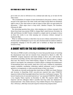got to look at it, but we will look at it in a rational and calm way, as we have for the other issues.

"The accumulation of weapons of mass destruction by Iraq poses a threat, a threat not just to the region but to the wider world, and I think George Bush was absolutely right to raise it. Now what action we take in respect of that, that is an open matter for discussion..." *('Blair edges closer to Iraqi strike', Matthew Tempest, The Guardian, February 28, 2002)*

The interesting question then arises: what stunning new evidence emerged of the threat from Iraq's non-existent WMD to change Blair's mind between November 30, 2001 and February 28, 2002? Clearly, it should be a simple task for an inquiry to focus on these few weeks to see what amazing new erroneous evidence emerged to bamboozle Blair.

What we will find, of course, is that there was no new evidence. Instead there was a decision made in Washington to go to war, and a decision made in London to initiate a propaganda campaign to fool the public and so facilitate an illegal and immoral invasion of Iraq.

## A SHORT NOTE ON THE RED HERRING OF WMD

The focus on WMD is itself a red herring. It is clear that peaceful means of resolving the disarmament issue had not remotely been exhausted by March 17, 2003. The UNMOVIC weapons inspectors had found nothing in three and a half months of unrestricted searching, and they had requested just a few more months to complete their task. The Charter of the United Nations, Chapter VI, Article 33 declares: "The parties to any dispute, the continuance of which is likely to endanger the maintenance of international peace and security, shall, first of all, seek a solution by negotiation, enquiry, mediation, conciliation, arbitration, judicial settlement, resort to regional agencies or arrangements, or other peaceful means of their own choice."

The media are currently professing their shock that no WMD were found. Fairness and Accuracy in Reporting *(FAIR: www.fair.org)* reported that some UNMOVIC inspectors believed that Iraq might indeed have been free of all banned weapons: "We haven't found an iota of concealed material yet," one unnamed UNMOVIC official told a Los Angeles Times reporter on December 31, 2002. The reporter added: "The inspector said his colleagues think it possible that Iraq really has eliminated its banned materials." (*Fair, Media Advisory: 'Iraq's Hidden Weapons: From Allegation to Fact', February 4, 2003 http://www.fair.org/press-releases/iraq-weapons.html)*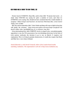Former head of UNMOVIC, Hans Blix, said in June 2003: "If anyone had cared ... to study what UNSCOM was saying for quite a number of years, and what we [UNMOVIC] were saying, they should not have assumed that they would stumble on weapons." *(Miles Pomper and Paul Kerr, 'An Interview With Hans Blix', Arms Control Today, June 16 2003)*

Blix also said in September 2003: "I don't think anything will come to light in Iraq that will justify the invasion." *(http://story.news.yahoo.com/news?tmpl=story&cid=535 &ncid=535&e=4&u=/ap/20030921/ap\_on\_re\_eu/greece\_iraq\_blix)*

Given international law, 100% UNMOVIC access to suspect sites, vast global popular opposition to war, the US's possession of an overwhelming deterrence in the form of 6,144 nuclear warheads, the decision to go to war on March 17 requires real explanation. Were we living in genuine democracies, it would also require that Bush and Blair face a war crimes tribunal.

*David Edwards is, with David Cromwell, editor of the London-based media watchdog, medialens. The organisation's web site is<http://www.medialens.org>*